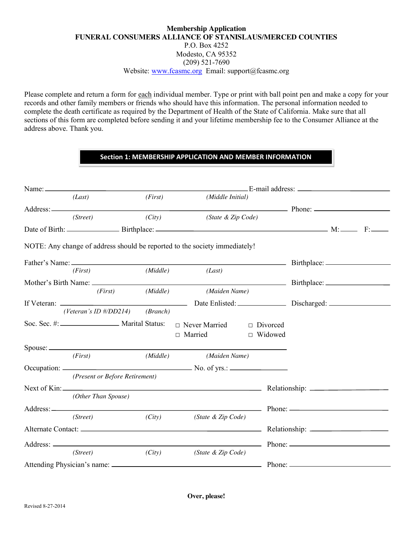# **Membership Application FUNERAL CONSUMERS ALLIANCE OF STANISLAUS/MERCED COUNTIES** P.O. Box 4252 Modesto, CA 95352 (209) 521-7690 Website: [www.fcasmc.org](http://www.fcasmc.org/) Email: support@fcasmc.org

Please complete and return a form for each individual member. Type or print with ball point pen and make a copy for your records and other family members or friends who should have this information. The personal information needed to complete the death certificate as required by the Department of Health of the State of California. Make sure that all sections of this form are completed before sending it and your lifetime membership fee to the Consumer Alliance at the address above. Thank you.

# **Section 1: MEMBERSHIP APPLICATION AND MEMBER INFORMATION**

|  | (Last)                               |          | (First)<br>(Middle Initial)                                                                                                                                                                                                    |                |  |
|--|--------------------------------------|----------|--------------------------------------------------------------------------------------------------------------------------------------------------------------------------------------------------------------------------------|----------------|--|
|  |                                      |          | Address: Phone: Phone: Phone: Phone: Phone: Phone: Phone: Phone: Phone: Phone: Phone: Phone: Phone: Phone: Phone: Phone: Phone: Phone: Phone: Phone: Phone: Phone: Phone: Phone: Phone: Phone: Phone: Phone: Phone: Phone: Pho |                |  |
|  | (Street)                             |          | $(City)$ (State & Zip Code)                                                                                                                                                                                                    |                |  |
|  |                                      |          |                                                                                                                                                                                                                                |                |  |
|  |                                      |          | NOTE: Any change of address should be reported to the society immediately!                                                                                                                                                     |                |  |
|  |                                      |          |                                                                                                                                                                                                                                |                |  |
|  | (First)                              |          | $(Middle)$ $(Last)$                                                                                                                                                                                                            |                |  |
|  |                                      |          |                                                                                                                                                                                                                                |                |  |
|  | (First)                              | (Middle) | (Maiden Name)                                                                                                                                                                                                                  |                |  |
|  |                                      |          |                                                                                                                                                                                                                                |                |  |
|  | (Veteran's ID $\# /DD214$ ) (Branch) |          |                                                                                                                                                                                                                                |                |  |
|  |                                      |          | Soc. Sec. #: _________________ Marital Status: □ Never Married<br>$\Box$ Divorced                                                                                                                                              |                |  |
|  |                                      |          | □ Married                                                                                                                                                                                                                      | $\Box$ Widowed |  |
|  |                                      |          |                                                                                                                                                                                                                                |                |  |
|  | (First)                              |          | (Middle) (Maiden Name)                                                                                                                                                                                                         |                |  |
|  |                                      |          |                                                                                                                                                                                                                                |                |  |
|  | (Present or Before Retirement)       |          |                                                                                                                                                                                                                                |                |  |
|  |                                      |          |                                                                                                                                                                                                                                |                |  |
|  | (Other Than Spouse)                  |          |                                                                                                                                                                                                                                |                |  |
|  |                                      |          | Address: Phone: 2008. Phone: 2008. Phone: 2008. Phone: 2008. Phone: 2008. Phone: 2008. Phone: 2008. Phone: 2008. Phone: 2008. Phone: 2008. Phone: 2008. Phone: 2008. Phone: 2008. Phone: 2008. Phone: 2008. Phone: 2008. Phone |                |  |
|  | (Street)                             |          | (City) (State & Zip Code)                                                                                                                                                                                                      |                |  |
|  |                                      |          |                                                                                                                                                                                                                                |                |  |
|  |                                      |          |                                                                                                                                                                                                                                |                |  |
|  | (Street)                             | (City)   | (State & Zip Code)                                                                                                                                                                                                             |                |  |
|  |                                      |          |                                                                                                                                                                                                                                |                |  |